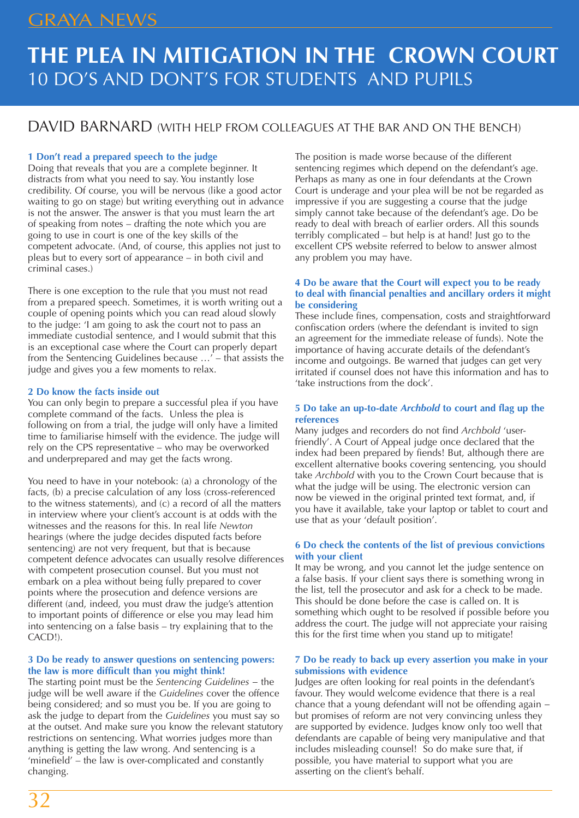## GRAYA NEWS

# **THE PLEA IN MITIGATION IN THE CROWN COURT** 10 DO'S AND DONT'S FOR STUDENTS AND PUPILS

### DAVID BARNARD (WITH HELP FROM COLLEAGUES AT THE BAR AND ON THE BENCH)

#### **1 Don't read a prepared speech to the judge**

Doing that reveals that you are a complete beginner. It distracts from what you need to say. You instantly lose credibility. Of course, you will be nervous (like a good actor waiting to go on stage) but writing everything out in advance is not the answer. The answer is that you must learn the art of speaking from notes – drafting the note which you are going to use in court is one of the key skills of the competent advocate. (And, of course, this applies not just to pleas but to every sort of appearance – in both civil and criminal cases.)

There is one exception to the rule that you must not read from a prepared speech. Sometimes, it is worth writing out a couple of opening points which you can read aloud slowly to the judge: 'I am going to ask the court not to pass an immediate custodial sentence, and I would submit that this is an exceptional case where the Court can properly depart from the Sentencing Guidelines because …' – that assists the judge and gives you a few moments to relax.

#### **2 Do know the facts inside out**

You can only begin to prepare a successful plea if you have complete command of the facts. Unless the plea is following on from a trial, the judge will only have a limited time to familiarise himself with the evidence. The judge will rely on the CPS representative – who may be overworked and underprepared and may get the facts wrong.

You need to have in your notebook: (a) a chronology of the facts, (b) a precise calculation of any loss (cross-referenced to the witness statements), and (c) a record of all the matters in interview where your client's account is at odds with the witnesses and the reasons for this. In real life *Newton* hearings (where the judge decides disputed facts before sentencing) are not very frequent, but that is because competent defence advocates can usually resolve differences with competent prosecution counsel. But you must not embark on a plea without being fully prepared to cover points where the prosecution and defence versions are different (and, indeed, you must draw the judge's attention to important points of difference or else you may lead him into sentencing on a false basis – try explaining that to the CACD!).

#### **3 Do be ready to answer questions on sentencing powers: the law is more difficult than you might think!**

The starting point must be the *Sentencing Guidelines* − the judge will be well aware if the *Guidelines* cover the offence being considered; and so must you be. If you are going to ask the judge to depart from the *Guidelines* you must say so at the outset. And make sure you know the relevant statutory restrictions on sentencing. What worries judges more than anything is getting the law wrong. And sentencing is a 'minefield' – the law is over-complicated and constantly changing.

The position is made worse because of the different sentencing regimes which depend on the defendant's age. Perhaps as many as one in four defendants at the Crown Court is underage and your plea will be not be regarded as impressive if you are suggesting a course that the judge simply cannot take because of the defendant's age. Do be ready to deal with breach of earlier orders. All this sounds terribly complicated – but help is at hand! Just go to the excellent CPS website referred to below to answer almost any problem you may have.

#### **4 Do be aware that the Court will expect you to be ready to deal with financial penalties and ancillary orders it might be considering**

These include fines, compensation, costs and straightforward confiscation orders (where the defendant is invited to sign an agreement for the immediate release of funds). Note the importance of having accurate details of the defendant's income and outgoings. Be warned that judges can get very irritated if counsel does not have this information and has to 'take instructions from the dock'.

#### **5 Do take an up-to-date** *Archbold* **to court and flag up the references**

Many judges and recorders do not find *Archbold* 'userfriendly'. A Court of Appeal judge once declared that the index had been prepared by fiends! But, although there are excellent alternative books covering sentencing, you should take *Archbold* with you to the Crown Court because that is what the judge will be using. The electronic version can now be viewed in the original printed text format, and, if you have it available, take your laptop or tablet to court and use that as your 'default position'.

#### **6 Do check the contents of the list of previous convictions with your client**

It may be wrong, and you cannot let the judge sentence on a false basis. If your client says there is something wrong in the list, tell the prosecutor and ask for a check to be made. This should be done before the case is called on. It is something which ought to be resolved if possible before you address the court. The judge will not appreciate your raising this for the first time when you stand up to mitigate!

#### **7 Do be ready to back up every assertion you make in your submissions with evidence**

Judges are often looking for real points in the defendant's favour. They would welcome evidence that there is a real chance that a young defendant will not be offending again − but promises of reform are not very convincing unless they are supported by evidence. Judges know only too well that defendants are capable of being very manipulative and that includes misleading counsel! So do make sure that, if possible, you have material to support what you are asserting on the client's behalf.